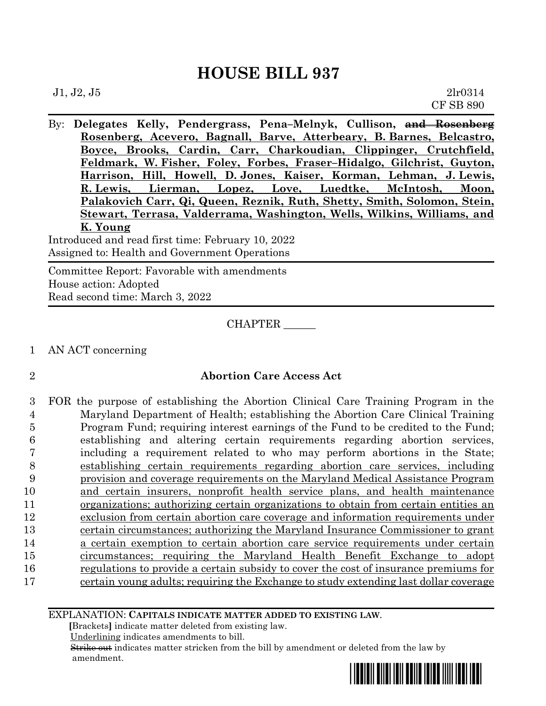By: **Delegates Kelly, Pendergrass, Pena–Melnyk, Cullison, and Rosenberg Rosenberg, Acevero, Bagnall, Barve, Atterbeary, B. Barnes, Belcastro, Boyce, Brooks, Cardin, Carr, Charkoudian, Clippinger, Crutchfield, Feldmark, W. Fisher, Foley, Forbes, Fraser–Hidalgo, Gilchrist, Guyton, Harrison, Hill, Howell, D. Jones, Kaiser, Korman, Lehman, J. Lewis, R. Lewis, Lierman, Lopez, Love, Luedtke, McIntosh, Moon, Palakovich Carr, Qi, Queen, Reznik, Ruth, Shetty, Smith, Solomon, Stein, Stewart, Terrasa, Valderrama, Washington, Wells, Wilkins, Williams, and K. Young**

Introduced and read first time: February 10, 2022 Assigned to: Health and Government Operations

Committee Report: Favorable with amendments House action: Adopted Read second time: March 3, 2022

CHAPTER \_\_\_\_\_\_

- 1 AN ACT concerning
- 

#### 2 **Abortion Care Access Act**

 FOR the purpose of establishing the Abortion Clinical Care Training Program in the Maryland Department of Health; establishing the Abortion Care Clinical Training Program Fund; requiring interest earnings of the Fund to be credited to the Fund; establishing and altering certain requirements regarding abortion services, including a requirement related to who may perform abortions in the State; establishing certain requirements regarding abortion care services, including provision and coverage requirements on the Maryland Medical Assistance Program and certain insurers, nonprofit health service plans, and health maintenance organizations; authorizing certain organizations to obtain from certain entities an exclusion from certain abortion care coverage and information requirements under certain circumstances; authorizing the Maryland Insurance Commissioner to grant a certain exemption to certain abortion care service requirements under certain circumstances; requiring the Maryland Health Benefit Exchange to adopt regulations to provide a certain subsidy to cover the cost of insurance premiums for 17 certain young adults; requiring the Exchange to study extending last dollar coverage

EXPLANATION: **CAPITALS INDICATE MATTER ADDED TO EXISTING LAW**.

 **[**Brackets**]** indicate matter deleted from existing law.

Underlining indicates amendments to bill.

 Strike out indicates matter stricken from the bill by amendment or deleted from the law by amendment.

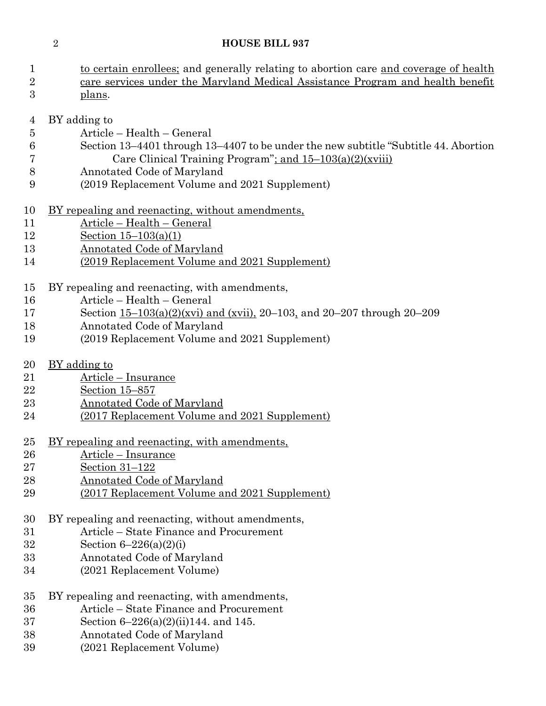| $\mathbf{1}$   | to certain enrollees; and generally relating to abortion care and coverage of health |
|----------------|--------------------------------------------------------------------------------------|
| $\overline{2}$ | care services under the Maryland Medical Assistance Program and health benefit       |
| 3              | plans.                                                                               |
|                |                                                                                      |
| $\overline{4}$ | BY adding to                                                                         |
| $\overline{5}$ | Article - Health - General                                                           |
| 6              | Section 13-4401 through 13-4407 to be under the new subtitle "Subtitle 44. Abortion  |
| 7              | Care Clinical Training Program"; and 15-103(a)(2)(xviii)                             |
| 8              | Annotated Code of Maryland                                                           |
| 9              | (2019 Replacement Volume and 2021 Supplement)                                        |
|                |                                                                                      |
| 10             | <u>BY repealing and reenacting, without amendments,</u>                              |
| 11             | Article - Health - General                                                           |
| 12             | Section $15-103(a)(1)$                                                               |
| 13             | <b>Annotated Code of Maryland</b>                                                    |
| 14             | (2019 Replacement Volume and 2021 Supplement)                                        |
|                |                                                                                      |
| 15             | BY repealing and reenacting, with amendments,                                        |
| 16             | Article - Health - General                                                           |
| 17             | Section 15-103(a)(2)(xvi) and (xvii), 20-103, and 20-207 through 20-209              |
| 18             | Annotated Code of Maryland                                                           |
| 19             | (2019 Replacement Volume and 2021 Supplement)                                        |
|                |                                                                                      |
| 20             | <u>BY</u> adding to                                                                  |
| 21             | Article – Insurance                                                                  |
| 22             | Section 15-857                                                                       |
| 23             | <b>Annotated Code of Maryland</b>                                                    |
| 24             | (2017 Replacement Volume and 2021 Supplement)                                        |
|                |                                                                                      |
| 25             | <u>BY repealing and reenacting, with amendments,</u>                                 |
| 26             | Article - Insurance                                                                  |
| 27             | Section $31-122$                                                                     |
| 28             | <b>Annotated Code of Maryland</b>                                                    |
| 29             | (2017 Replacement Volume and 2021 Supplement)                                        |
|                |                                                                                      |
| 30             | BY repealing and reenacting, without amendments,                                     |
| 31             | Article – State Finance and Procurement                                              |
| 32             | Section $6 - 226(a)(2)(i)$                                                           |
| 33             | Annotated Code of Maryland                                                           |
| 34             | (2021 Replacement Volume)                                                            |
|                |                                                                                      |
| 35             | BY repealing and reenacting, with amendments,                                        |
| 36             | Article – State Finance and Procurement                                              |
| 37             | Section $6-226(a)(2)(ii)144$ , and 145.                                              |
| 38             | Annotated Code of Maryland                                                           |

(2021 Replacement Volume)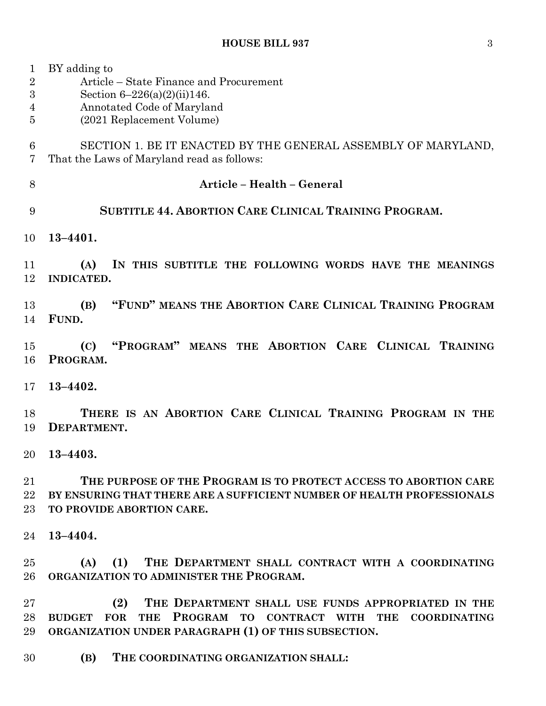| 1<br>$\sqrt{2}$<br>3<br>4<br>5 | BY adding to<br>Article – State Finance and Procurement<br>Section $6-226(a)(2)(ii)146$ .<br>Annotated Code of Maryland<br>(2021 Replacement Volume)                                              |  |  |
|--------------------------------|---------------------------------------------------------------------------------------------------------------------------------------------------------------------------------------------------|--|--|
| 6<br>7                         | SECTION 1. BE IT ENACTED BY THE GENERAL ASSEMBLY OF MARYLAND,<br>That the Laws of Maryland read as follows:                                                                                       |  |  |
| 8                              | Article - Health - General                                                                                                                                                                        |  |  |
| 9                              | SUBTITLE 44. ABORTION CARE CLINICAL TRAINING PROGRAM.                                                                                                                                             |  |  |
| 10                             | $13 - 4401.$                                                                                                                                                                                      |  |  |
| 11<br>12                       | IN THIS SUBTITLE THE FOLLOWING WORDS HAVE THE MEANINGS<br>(A)<br><b>INDICATED.</b>                                                                                                                |  |  |
| 13<br>14                       | "FUND" MEANS THE ABORTION CARE CLINICAL TRAINING PROGRAM<br>(B)<br>FUND.                                                                                                                          |  |  |
| 15<br>16                       | "PROGRAM" MEANS THE ABORTION CARE CLINICAL TRAINING<br>(C)<br>PROGRAM.                                                                                                                            |  |  |
| 17                             | $13 - 4402.$                                                                                                                                                                                      |  |  |
| 18<br>19                       | THERE IS AN ABORTION CARE CLINICAL TRAINING PROGRAM IN THE<br>DEPARTMENT.                                                                                                                         |  |  |
| 20                             | $13 - 4403.$                                                                                                                                                                                      |  |  |
| 21<br>22<br>23                 | THE PURPOSE OF THE PROGRAM IS TO PROTECT ACCESS TO ABORTION CARE<br>BY ENSURING THAT THERE ARE A SUFFICIENT NUMBER OF HEALTH PROFESSIONALS<br>TO PROVIDE ABORTION CARE.                           |  |  |
| 24                             | $13 - 4404.$                                                                                                                                                                                      |  |  |
| 25<br>26                       | (1)<br>THE DEPARTMENT SHALL CONTRACT WITH A COORDINATING<br>(A)<br>ORGANIZATION TO ADMINISTER THE PROGRAM.                                                                                        |  |  |
| 27<br>28<br>29                 | (2)<br>THE DEPARTMENT SHALL USE FUNDS APPROPRIATED IN THE<br>PROGRAM TO CONTRACT WITH THE COORDINATING<br><b>BUDGET FOR</b><br><b>THE</b><br>ORGANIZATION UNDER PARAGRAPH (1) OF THIS SUBSECTION. |  |  |

**(B) THE COORDINATING ORGANIZATION SHALL:**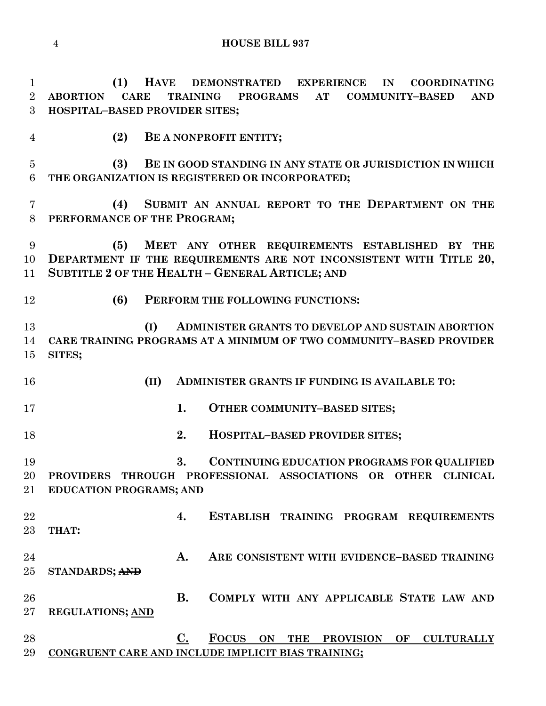**(1) HAVE DEMONSTRATED EXPERIENCE IN COORDINATING ABORTION CARE TRAINING PROGRAMS AT COMMUNITY–BASED AND HOSPITAL–BASED PROVIDER SITES;**

**(2) BE A NONPROFIT ENTITY;**

 **(3) BE IN GOOD STANDING IN ANY STATE OR JURISDICTION IN WHICH THE ORGANIZATION IS REGISTERED OR INCORPORATED;**

 **(4) SUBMIT AN ANNUAL REPORT TO THE DEPARTMENT ON THE PERFORMANCE OF THE PROGRAM;**

 **(5) MEET ANY OTHER REQUIREMENTS ESTABLISHED BY THE DEPARTMENT IF THE REQUIREMENTS ARE NOT INCONSISTENT WITH TITLE 20, SUBTITLE 2 OF THE HEALTH – GENERAL ARTICLE; AND**

**(6) PERFORM THE FOLLOWING FUNCTIONS:**

 **(I) ADMINISTER GRANTS TO DEVELOP AND SUSTAIN ABORTION CARE TRAINING PROGRAMS AT A MINIMUM OF TWO COMMUNITY–BASED PROVIDER SITES;**

**(II) ADMINISTER GRANTS IF FUNDING IS AVAILABLE TO:**

**1. OTHER COMMUNITY–BASED SITES;**

**2. HOSPITAL–BASED PROVIDER SITES;**

 **3. CONTINUING EDUCATION PROGRAMS FOR QUALIFIED PROVIDERS THROUGH PROFESSIONAL ASSOCIATIONS OR OTHER CLINICAL EDUCATION PROGRAMS; AND**

 **4. ESTABLISH TRAINING PROGRAM REQUIREMENTS THAT: A. ARE CONSISTENT WITH EVIDENCE–BASED TRAINING STANDARDS; AND**

 **B. COMPLY WITH ANY APPLICABLE STATE LAW AND REGULATIONS; AND**

 **C. FOCUS ON THE PROVISION OF CULTURALLY CONGRUENT CARE AND INCLUDE IMPLICIT BIAS TRAINING;**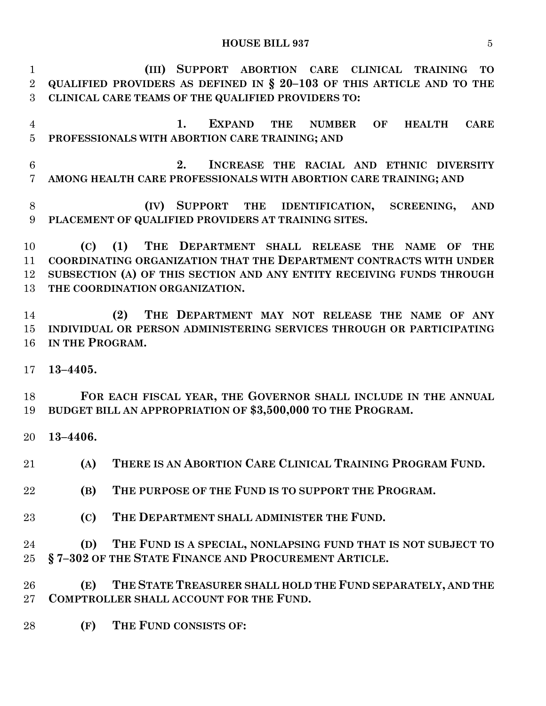**(III) SUPPORT ABORTION CARE CLINICAL TRAINING TO QUALIFIED PROVIDERS AS DEFINED IN § 20–103 OF THIS ARTICLE AND TO THE CLINICAL CARE TEAMS OF THE QUALIFIED PROVIDERS TO:**

 **1. EXPAND THE NUMBER OF HEALTH CARE PROFESSIONALS WITH ABORTION CARE TRAINING; AND**

 **2. INCREASE THE RACIAL AND ETHNIC DIVERSITY AMONG HEALTH CARE PROFESSIONALS WITH ABORTION CARE TRAINING; AND**

 **(IV) SUPPORT THE IDENTIFICATION, SCREENING, AND PLACEMENT OF QUALIFIED PROVIDERS AT TRAINING SITES.**

 **(C) (1) THE DEPARTMENT SHALL RELEASE THE NAME OF THE COORDINATING ORGANIZATION THAT THE DEPARTMENT CONTRACTS WITH UNDER SUBSECTION (A) OF THIS SECTION AND ANY ENTITY RECEIVING FUNDS THROUGH THE COORDINATION ORGANIZATION.**

 **(2) THE DEPARTMENT MAY NOT RELEASE THE NAME OF ANY INDIVIDUAL OR PERSON ADMINISTERING SERVICES THROUGH OR PARTICIPATING IN THE PROGRAM.**

**13–4405.**

 **FOR EACH FISCAL YEAR, THE GOVERNOR SHALL INCLUDE IN THE ANNUAL BUDGET BILL AN APPROPRIATION OF \$3,500,000 TO THE PROGRAM.**

**13–4406.**

**(A) THERE IS AN ABORTION CARE CLINICAL TRAINING PROGRAM FUND.**

- **(B) THE PURPOSE OF THE FUND IS TO SUPPORT THE PROGRAM.**
- **(C) THE DEPARTMENT SHALL ADMINISTER THE FUND.**

 **(D) THE FUND IS A SPECIAL, NONLAPSING FUND THAT IS NOT SUBJECT TO § 7–302 OF THE STATE FINANCE AND PROCUREMENT ARTICLE.**

 **(E) THE STATE TREASURER SHALL HOLD THE FUND SEPARATELY, AND THE COMPTROLLER SHALL ACCOUNT FOR THE FUND.**

**(F) THE FUND CONSISTS OF:**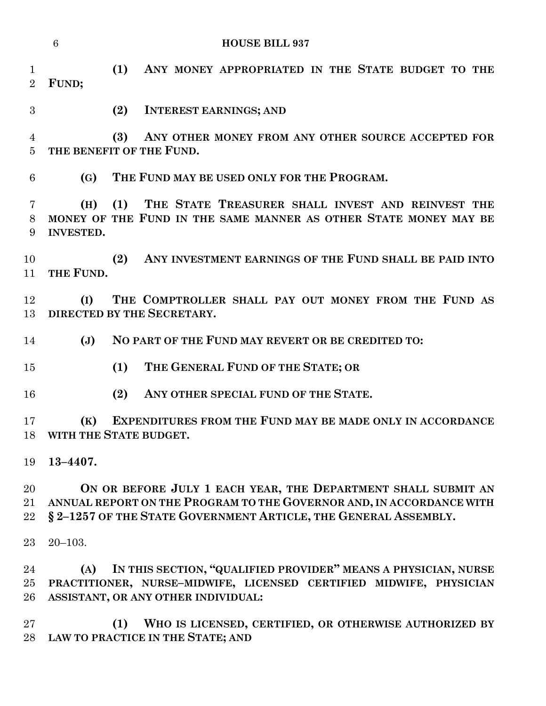|                                | 6                       | <b>HOUSE BILL 937</b>                                                                                                                                                                                    |
|--------------------------------|-------------------------|----------------------------------------------------------------------------------------------------------------------------------------------------------------------------------------------------------|
| $\mathbf{1}$<br>$\overline{2}$ | FUND;                   | (1)<br>ANY MONEY APPROPRIATED IN THE STATE BUDGET TO THE                                                                                                                                                 |
| 3                              |                         | (2)<br><b>INTEREST EARNINGS; AND</b>                                                                                                                                                                     |
| 4<br>$\overline{5}$            |                         | (3)<br>ANY OTHER MONEY FROM ANY OTHER SOURCE ACCEPTED FOR<br>THE BENEFIT OF THE FUND.                                                                                                                    |
| 6                              | (G)                     | THE FUND MAY BE USED ONLY FOR THE PROGRAM.                                                                                                                                                               |
| 7<br>8<br>9                    | (H)<br><b>INVESTED.</b> | (1)<br>THE STATE TREASURER SHALL INVEST AND REINVEST THE<br>MONEY OF THE FUND IN THE SAME MANNER AS OTHER STATE MONEY MAY BE                                                                             |
| 10<br>11                       | THE FUND.               | ANY INVESTMENT EARNINGS OF THE FUND SHALL BE PAID INTO<br>(2)                                                                                                                                            |
| 12<br>13                       | (I)                     | THE COMPTROLLER SHALL PAY OUT MONEY FROM THE FUND AS<br>DIRECTED BY THE SECRETARY.                                                                                                                       |
| 14                             | $(\mathbf{J})$          | NO PART OF THE FUND MAY REVERT OR BE CREDITED TO:                                                                                                                                                        |
| 15                             |                         | THE GENERAL FUND OF THE STATE; OR<br>(1)                                                                                                                                                                 |
| 16                             |                         | ANY OTHER SPECIAL FUND OF THE STATE.<br>(2)                                                                                                                                                              |
| 17                             | (K)                     | <b>EXPENDITURES FROM THE FUND MAY BE MADE ONLY IN ACCORDANCE</b><br>18 WITH THE STATE BUDGET.                                                                                                            |
| 19                             | $13 - 4407.$            |                                                                                                                                                                                                          |
| 20<br>21<br>22                 |                         | ON OR BEFORE JULY 1 EACH YEAR, THE DEPARTMENT SHALL SUBMIT AN<br>ANNUAL REPORT ON THE PROGRAM TO THE GOVERNOR AND, IN ACCORDANCE WITH<br>§ 2-1257 OF THE STATE GOVERNMENT ARTICLE, THE GENERAL ASSEMBLY. |
| 23                             | $20 - 103.$             |                                                                                                                                                                                                          |
| 24<br>25<br>26                 | (A)                     | IN THIS SECTION, "QUALIFIED PROVIDER" MEANS A PHYSICIAN, NURSE<br>PRACTITIONER, NURSE-MIDWIFE, LICENSED CERTIFIED MIDWIFE, PHYSICIAN<br>ASSISTANT, OR ANY OTHER INDIVIDUAL:                              |
| 27<br>28                       |                         | WHO IS LICENSED, CERTIFIED, OR OTHERWISE AUTHORIZED BY<br>(1)<br>LAW TO PRACTICE IN THE STATE; AND                                                                                                       |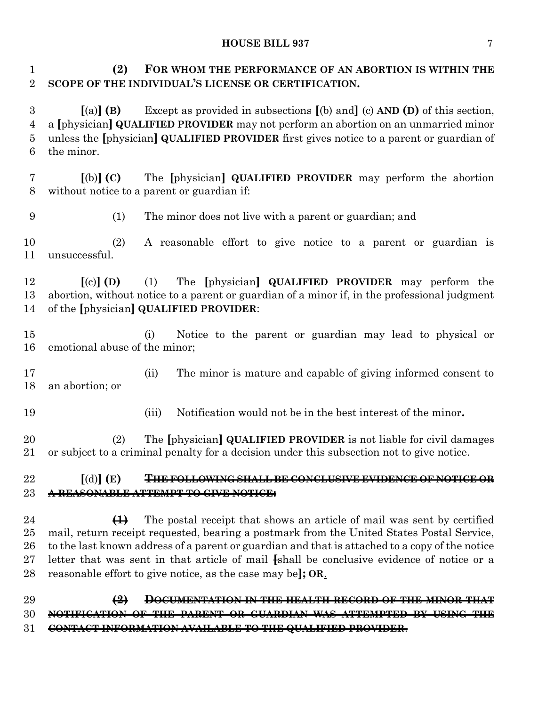**(2) FOR WHOM THE PERFORMANCE OF AN ABORTION IS WITHIN THE SCOPE OF THE INDIVIDUAL'S LICENSE OR CERTIFICATION.**

 **[**(a)**] (B)** Except as provided in subsections **[**(b) and**]** (c) **AND (D)** of this section, a **[**physician**] QUALIFIED PROVIDER** may not perform an abortion on an unmarried minor unless the **[**physician**] QUALIFIED PROVIDER** first gives notice to a parent or guardian of the minor.

 **[**(b)**] (C)** The **[**physician**] QUALIFIED PROVIDER** may perform the abortion without notice to a parent or guardian if:

(1) The minor does not live with a parent or guardian; and

 (2) A reasonable effort to give notice to a parent or guardian is unsuccessful.

 **[**(c)**] (D)** (1) The **[**physician**] QUALIFIED PROVIDER** may perform the abortion, without notice to a parent or guardian of a minor if, in the professional judgment of the **[**physician**] QUALIFIED PROVIDER**:

 (i) Notice to the parent or guardian may lead to physical or emotional abuse of the minor;

 (ii) The minor is mature and capable of giving informed consent to an abortion; or

(iii) Notification would not be in the best interest of the minor**.**

 (2) The **[**physician**] QUALIFIED PROVIDER** is not liable for civil damages or subject to a criminal penalty for a decision under this subsection not to give notice.

## **[**(d)**] (E) THE FOLLOWING SHALL BE CONCLUSIVE EVIDENCE OF NOTICE OR A REASONABLE ATTEMPT TO GIVE NOTICE:**

 **(1)** The postal receipt that shows an article of mail was sent by certified mail, return receipt requested, bearing a postmark from the United States Postal Service, to the last known address of a parent or guardian and that is attached to a copy of the notice letter that was sent in that article of mail **[**shall be conclusive evidence of notice or a reasonable effort to give notice, as the case may be**]; OR**.

 **(2) DOCUMENTATION IN THE HEALTH RECORD OF THE MINOR THAT NOTIFICATION OF THE PARENT OR GUARDIAN WAS ATTEMPTED BY USING THE CONTACT INFORMATION AVAILABLE TO THE QUALIFIED PROVIDER**.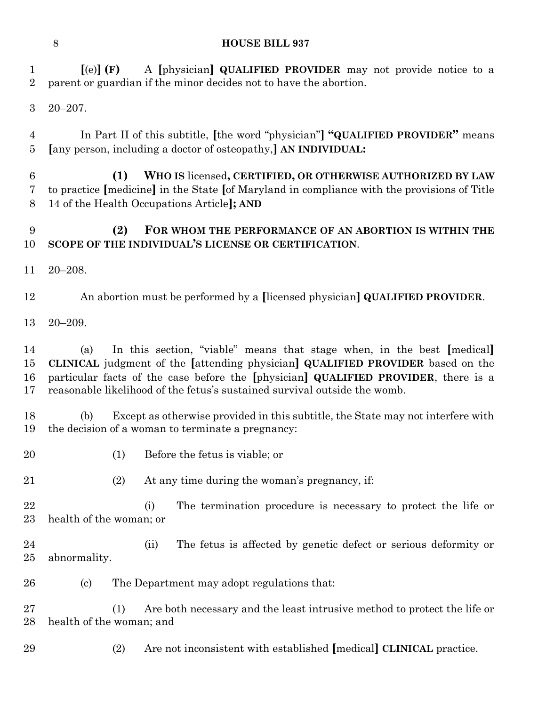| 1<br>$\overline{2}$  | $\left[$ (e) $\right]$ (F)                                                                                                                                                                                     | A [physician] QUALIFIED PROVIDER may not provide notice to a<br>parent or guardian if the minor decides not to have the abortion.                                                                                                                                                                                           |  |  |
|----------------------|----------------------------------------------------------------------------------------------------------------------------------------------------------------------------------------------------------------|-----------------------------------------------------------------------------------------------------------------------------------------------------------------------------------------------------------------------------------------------------------------------------------------------------------------------------|--|--|
| 3                    | $20 - 207$ .                                                                                                                                                                                                   |                                                                                                                                                                                                                                                                                                                             |  |  |
| $\overline{4}$<br>5  |                                                                                                                                                                                                                | In Part II of this subtitle, [the word "physician"] "QUALIFIED PROVIDER" means<br>[any person, including a doctor of osteopathy,] AN INDIVIDUAL:                                                                                                                                                                            |  |  |
| $\,6$<br>7<br>8      | (1)<br>WHO IS licensed, CERTIFIED, OR OTHERWISE AUTHORIZED BY LAW<br>to practice [medicine] in the State [of Maryland in compliance with the provisions of Title<br>14 of the Health Occupations Article]; AND |                                                                                                                                                                                                                                                                                                                             |  |  |
| 9<br>10              | (2)                                                                                                                                                                                                            | FOR WHOM THE PERFORMANCE OF AN ABORTION IS WITHIN THE<br>SCOPE OF THE INDIVIDUAL'S LICENSE OR CERTIFICATION.                                                                                                                                                                                                                |  |  |
| 11                   | $20 - 208.$                                                                                                                                                                                                    |                                                                                                                                                                                                                                                                                                                             |  |  |
| 12                   |                                                                                                                                                                                                                | An abortion must be performed by a [licensed physician] QUALIFIED PROVIDER.                                                                                                                                                                                                                                                 |  |  |
| 13                   | $20 - 209.$                                                                                                                                                                                                    |                                                                                                                                                                                                                                                                                                                             |  |  |
| 14<br>15<br>16<br>17 | (a)                                                                                                                                                                                                            | In this section, "viable" means that stage when, in the best [medical]<br>CLINICAL judgment of the [attending physician] QUALIFIED PROVIDER based on the<br>particular facts of the case before the [physician] QUALIFIED PROVIDER, there is a<br>reasonable likelihood of the fetus's sustained survival outside the womb. |  |  |
| 18<br>19             | (b)                                                                                                                                                                                                            | Except as otherwise provided in this subtitle, the State may not interfere with<br>the decision of a woman to terminate a pregnancy:                                                                                                                                                                                        |  |  |
| 20                   | (1)                                                                                                                                                                                                            | Before the fetus is viable; or                                                                                                                                                                                                                                                                                              |  |  |
| 21                   | (2)                                                                                                                                                                                                            | At any time during the woman's pregnancy, if:                                                                                                                                                                                                                                                                               |  |  |
| 22<br>23             | health of the woman; or                                                                                                                                                                                        | The termination procedure is necessary to protect the life or<br>(i)                                                                                                                                                                                                                                                        |  |  |
| $\bf{24}$<br>25      | abnormality.                                                                                                                                                                                                   | The fetus is affected by genetic defect or serious deformity or<br>(ii)                                                                                                                                                                                                                                                     |  |  |
| 26                   | $\left( \mathrm{c}\right)$                                                                                                                                                                                     | The Department may adopt regulations that:                                                                                                                                                                                                                                                                                  |  |  |
| 27<br>28             | (1)<br>health of the woman; and                                                                                                                                                                                | Are both necessary and the least intrusive method to protect the life or                                                                                                                                                                                                                                                    |  |  |
| 29                   | (2)                                                                                                                                                                                                            | Are not inconsistent with established [medical] CLINICAL practice.                                                                                                                                                                                                                                                          |  |  |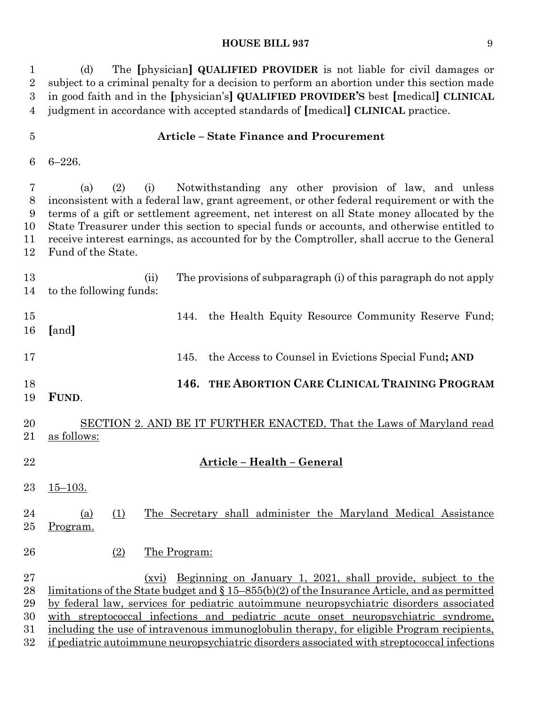(d) The **[**physician**] QUALIFIED PROVIDER** is not liable for civil damages or subject to a criminal penalty for a decision to perform an abortion under this section made in good faith and in the **[**physician's**] QUALIFIED PROVIDER'S** best **[**medical**] CLINICAL** judgment in accordance with accepted standards of **[**medical**] CLINICAL** practice.

#### **Article – State Finance and Procurement**

6–226.

 (a) (2) (i) Notwithstanding any other provision of law, and unless inconsistent with a federal law, grant agreement, or other federal requirement or with the terms of a gift or settlement agreement, net interest on all State money allocated by the State Treasurer under this section to special funds or accounts, and otherwise entitled to receive interest earnings, as accounted for by the Comptroller, shall accrue to the General Fund of the State.

 (ii) The provisions of subparagraph (i) of this paragraph do not apply to the following funds: 15 144. the Health Equity Resource Community Reserve Fund; **[**and**]**

145. the Access to Counsel in Evictions Special Fund**; AND**

**146. THE ABORTION CARE CLINICAL TRAINING PROGRAM** 

**FUND**.

 SECTION 2. AND BE IT FURTHER ENACTED, That the Laws of Maryland read as follows:

- **Article – Health – General**
- $23 \quad 15 103.$

## 24 (a) (1) The Secretary shall administer the Maryland Medical Assistance Program.

26 (2) The Program:

 (xvi) Beginning on January 1, 2021, shall provide, subject to the 28 limitations of the State budget and  $\S 15-855(b)(2)$  of the Insurance Article, and as permitted by federal law, services for pediatric autoimmune neuropsychiatric disorders associated with streptococcal infections and pediatric acute onset neuropsychiatric syndrome, including the use of intravenous immunoglobulin therapy, for eligible Program recipients, if pediatric autoimmune neuropsychiatric disorders associated with streptococcal infections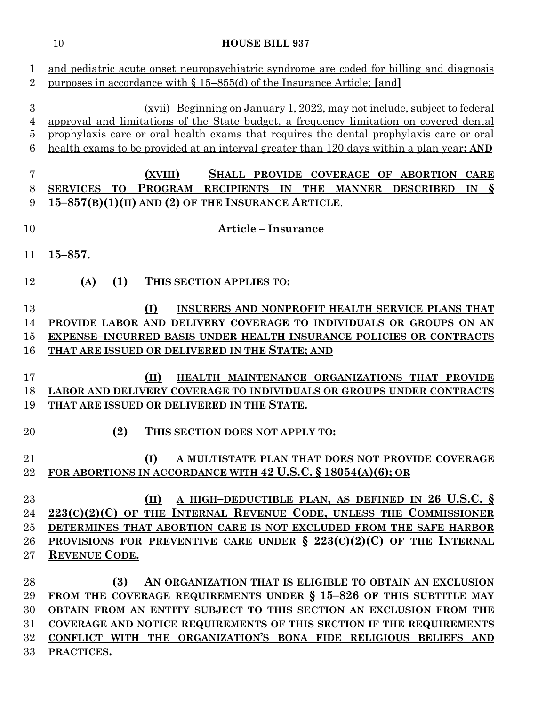| 1<br>$\overline{2}$                          | and pediatric acute onset neuropsychiatric syndrome are coded for billing and diagnosis<br>purposes in accordance with $\S 15-855(d)$ of the Insurance Article; [and]                                                                                                                                                                                                 |
|----------------------------------------------|-----------------------------------------------------------------------------------------------------------------------------------------------------------------------------------------------------------------------------------------------------------------------------------------------------------------------------------------------------------------------|
| $\boldsymbol{3}$<br>4<br>5<br>6              | (xvii) Beginning on January 1, 2022, may not include, subject to federal<br>approval and limitations of the State budget, a frequency limitation on covered dental<br>prophylaxis care or oral health exams that requires the dental prophylaxis care or oral<br>health exams to be provided at an interval greater than 120 days within a plan year; AND             |
| 7<br>$8\,$<br>9                              | (XVIII)<br>SHALL PROVIDE COVERAGE OF ABORTION<br><b>CARE</b><br>PROGRAM<br>RECIPIENTS IN THE MANNER<br><sup>S</sup><br>SERVICES TO<br><b>DESCRIBED</b><br>IN<br>15-857(B)(1)(II) AND (2) OF THE INSURANCE ARTICLE.                                                                                                                                                    |
| 10                                           | <b>Article - Insurance</b>                                                                                                                                                                                                                                                                                                                                            |
| 11                                           | $15 - 857.$                                                                                                                                                                                                                                                                                                                                                           |
| 12                                           | (1)<br>(A)<br>THIS SECTION APPLIES TO:                                                                                                                                                                                                                                                                                                                                |
| 13<br>14<br>$15\,$<br>16                     | (I)<br>INSURERS AND NONPROFIT HEALTH SERVICE PLANS THAT<br>PROVIDE LABOR AND DELIVERY COVERAGE TO INDIVIDUALS OR GROUPS ON AN<br>EXPENSE-INCURRED BASIS UNDER HEALTH INSURANCE POLICIES OR CONTRACTS<br>THAT ARE ISSUED OR DELIVERED IN THE STATE; AND                                                                                                                |
| 17<br>18<br>19                               | (II)<br>HEALTH MAINTENANCE ORGANIZATIONS THAT PROVIDE<br>LABOR AND DELIVERY COVERAGE TO INDIVIDUALS OR GROUPS UNDER CONTRACTS<br>THAT ARE ISSUED OR DELIVERED IN THE STATE.                                                                                                                                                                                           |
| 20                                           | (2)<br>THIS SECTION DOES NOT APPLY TO:                                                                                                                                                                                                                                                                                                                                |
| 21<br>22                                     | (I)<br>A MULTISTATE PLAN THAT DOES NOT PROVIDE COVERAGE<br>FOR ABORTIONS IN ACCORDANCE WITH 42 U.S.C. § 18054(A)(6); OR                                                                                                                                                                                                                                               |
| 23<br>24<br>$25\,$<br>26<br>$27\,$           | A HIGH-DEDUCTIBLE PLAN, AS DEFINED IN 26 U.S.C. §<br>(II)<br>$223(C)(2)(C)$ of the Internal Revenue Code, unless the Commissioner<br>DETERMINES THAT ABORTION CARE IS NOT EXCLUDED FROM THE SAFE HARBOR<br>PROVISIONS FOR PREVENTIVE CARE UNDER § 223(C)(2)(C) OF THE INTERNAL<br><b>REVENUE CODE.</b>                                                                |
| 28<br>29<br>30<br>$31\,$<br>$32\,$<br>$33\,$ | AN ORGANIZATION THAT IS ELIGIBLE TO OBTAIN AN EXCLUSION<br>(3)<br>FROM THE COVERAGE REQUIREMENTS UNDER § 15-826 OF THIS SUBTITLE MAY<br>OBTAIN FROM AN ENTITY SUBJECT TO THIS SECTION AN EXCLUSION FROM THE<br>COVERAGE AND NOTICE REQUIREMENTS OF THIS SECTION IF THE REQUIREMENTS<br>CONFLICT WITH THE ORGANIZATION'S BONA FIDE RELIGIOUS BELIEFS AND<br>PRACTICES. |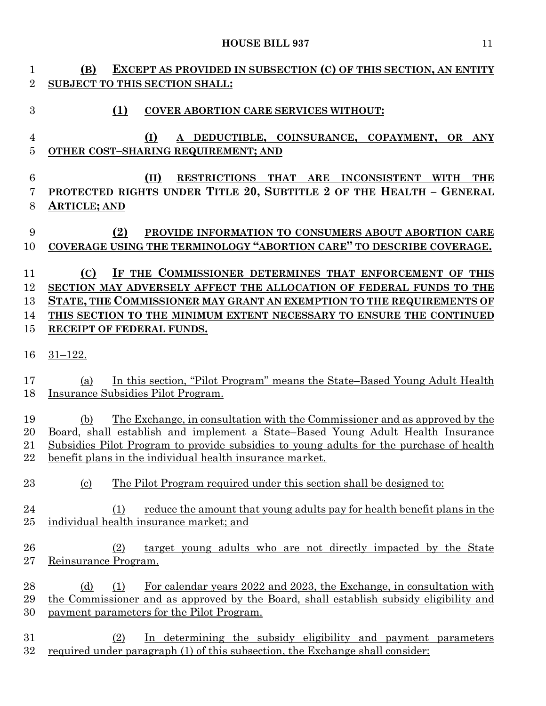| $\mathbf{1}$                     | EXCEPT AS PROVIDED IN SUBSECTION (C) OF THIS SECTION, AN ENTITY<br>(B)                                                                                                                                                                                                                                                      |
|----------------------------------|-----------------------------------------------------------------------------------------------------------------------------------------------------------------------------------------------------------------------------------------------------------------------------------------------------------------------------|
| $\overline{2}$                   | SUBJECT TO THIS SECTION SHALL:                                                                                                                                                                                                                                                                                              |
| 3                                | (1)<br><b>COVER ABORTION CARE SERVICES WITHOUT:</b>                                                                                                                                                                                                                                                                         |
| $\overline{4}$<br>$\overline{5}$ | (I)<br>A DEDUCTIBLE, COINSURANCE, COPAYMENT, OR ANY<br>OTHER COST-SHARING REQUIREMENT; AND                                                                                                                                                                                                                                  |
| $6\phantom{.}6$<br>7<br>8        | (II)<br>RESTRICTIONS THAT ARE INCONSISTENT WITH<br><b>THE</b><br>PROTECTED RIGHTS UNDER TITLE 20, SUBTITLE 2 OF THE HEALTH - GENERAL<br><b>ARTICLE; AND</b>                                                                                                                                                                 |
| 9<br>10                          | (2)<br>PROVIDE INFORMATION TO CONSUMERS ABOUT ABORTION CARE<br>COVERAGE USING THE TERMINOLOGY "ABORTION CARE" TO DESCRIBE COVERAGE.                                                                                                                                                                                         |
| 11<br>12<br>13<br>14<br>15       | IF THE COMMISSIONER DETERMINES THAT ENFORCEMENT OF THIS<br>(C)<br>SECTION MAY ADVERSELY AFFECT THE ALLOCATION OF FEDERAL FUNDS TO THE<br>STATE, THE COMMISSIONER MAY GRANT AN EXEMPTION TO THE REQUIREMENTS OF<br>THIS SECTION TO THE MINIMUM EXTENT NECESSARY TO ENSURE THE CONTINUED<br>RECEIPT OF FEDERAL FUNDS.         |
| 16                               | $31 - 122$ .                                                                                                                                                                                                                                                                                                                |
| 17<br>18                         | In this section, "Pilot Program" means the State-Based Young Adult Health<br>(a)<br>Insurance Subsidies Pilot Program.                                                                                                                                                                                                      |
| 19<br>20<br>21<br>22             | The Exchange, in consultation with the Commissioner and as approved by the<br>(b)<br>Board, shall establish and implement a State-Based Young Adult Health Insurance<br>Subsidies Pilot Program to provide subsidies to young adults for the purchase of health<br>benefit plans in the individual health insurance market. |
| 23                               | The Pilot Program required under this section shall be designed to:<br><u>(c)</u>                                                                                                                                                                                                                                           |
| 24<br>25                         | reduce the amount that young adults pay for health benefit plans in the<br>(1)<br>individual health insurance market; and                                                                                                                                                                                                   |
| 26<br>27                         | target young adults who are not directly impacted by the State<br>(2)<br>Reinsurance Program.                                                                                                                                                                                                                               |
| 28<br>29<br>30                   | For calendar years 2022 and 2023, the Exchange, in consultation with<br>(d)<br>(1)<br>the Commissioner and as approved by the Board, shall establish subsidy eligibility and<br>payment parameters for the Pilot Program.                                                                                                   |
| 31<br>32                         | In determining the subsidy eligibility and payment parameters<br>(2)<br>required under paragraph (1) of this subsection, the Exchange shall consider:                                                                                                                                                                       |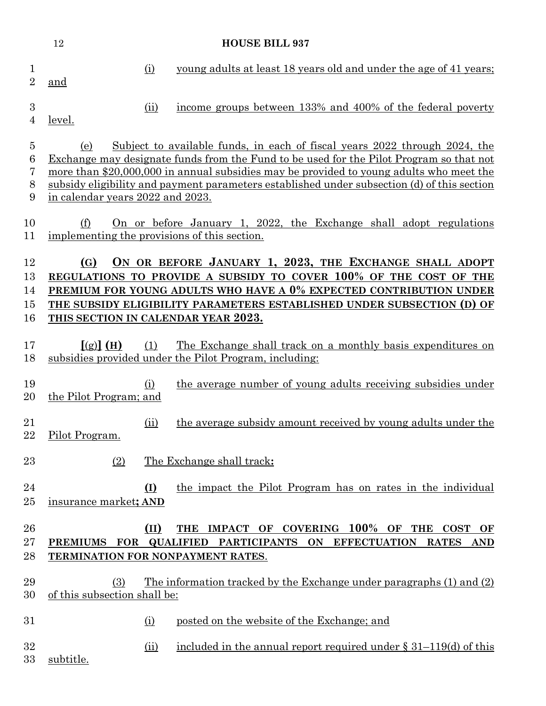|                                    | 12<br><b>HOUSE BILL 937</b>             |            |                                                                                                                                                                                                                                                                                                                                                                 |
|------------------------------------|-----------------------------------------|------------|-----------------------------------------------------------------------------------------------------------------------------------------------------------------------------------------------------------------------------------------------------------------------------------------------------------------------------------------------------------------|
| 1<br>$\overline{2}$                | and                                     | (i)        | young adults at least 18 years old and under the age of 41 years;                                                                                                                                                                                                                                                                                               |
| 3<br>$\overline{4}$                | <u>level.</u>                           | (ii)       | income groups between 133% and 400% of the federal poverty                                                                                                                                                                                                                                                                                                      |
| $\overline{5}$<br>6<br>7<br>8<br>9 | (e)<br>in calendar years 2022 and 2023. |            | Subject to available funds, in each of fiscal years 2022 through 2024, the<br>Exchange may designate funds from the Fund to be used for the Pilot Program so that not<br>more than \$20,000,000 in annual subsidies may be provided to young adults who meet the<br>subsidy eligibility and payment parameters established under subsection (d) of this section |
| 10<br>11                           | (f)                                     |            | On or before January 1, 2022, the Exchange shall adopt regulations<br>implementing the provisions of this section.                                                                                                                                                                                                                                              |
| 12<br>13<br>14<br>15<br>16         | (G)                                     |            | ON OR BEFORE JANUARY 1, 2023, THE EXCHANGE SHALL ADOPT<br>REGULATIONS TO PROVIDE A SUBSIDY TO COVER 100% OF THE COST OF THE<br>PREMIUM FOR YOUNG ADULTS WHO HAVE A 0% EXPECTED CONTRIBUTION UNDER<br>THE SUBSIDY ELIGIBILITY PARAMETERS ESTABLISHED UNDER SUBSECTION (D) OF<br>THIS SECTION IN CALENDAR YEAR 2023.                                              |
| 17<br>18                           | [(g)] (H)                               | (1)        | The Exchange shall track on a monthly basis expenditures on<br>subsidies provided under the Pilot Program, including:                                                                                                                                                                                                                                           |
| 19<br>20                           | the Pilot Program; and                  | (i)        | the average number of young adults receiving subsidies under                                                                                                                                                                                                                                                                                                    |
| 21<br>22                           | Pilot Program.                          | (ii)       | the average subsidy amount received by young adults under the                                                                                                                                                                                                                                                                                                   |
| 23                                 | (2)                                     |            | The Exchange shall track:                                                                                                                                                                                                                                                                                                                                       |
| 24<br>$25\,$                       | insurance market; AND                   | <u>(I)</u> | the impact the Pilot Program has on rates in the individual                                                                                                                                                                                                                                                                                                     |
| 26<br>$27\,$<br>28                 | PREMIUMS FOR QUALIFIED                  | (II)       | IMPACT OF COVERING 100% OF THE<br><b>THE</b><br><b>COST</b><br>OF<br>PARTICIPANTS ON EFFECTUATION<br><b>RATES</b><br><b>AND</b><br>TERMINATION FOR NONPAYMENT RATES.                                                                                                                                                                                            |
| 29<br>30                           | (3)<br>of this subsection shall be:     |            | <u>The information tracked by the Exchange under paragraphs (1) and (2)</u>                                                                                                                                                                                                                                                                                     |
| 31                                 |                                         | (i)        | posted on the website of the Exchange; and                                                                                                                                                                                                                                                                                                                      |
| 32<br>33                           | subtitle.                               | (ii)       | included in the annual report required under $\S 31-119$ (d) of this                                                                                                                                                                                                                                                                                            |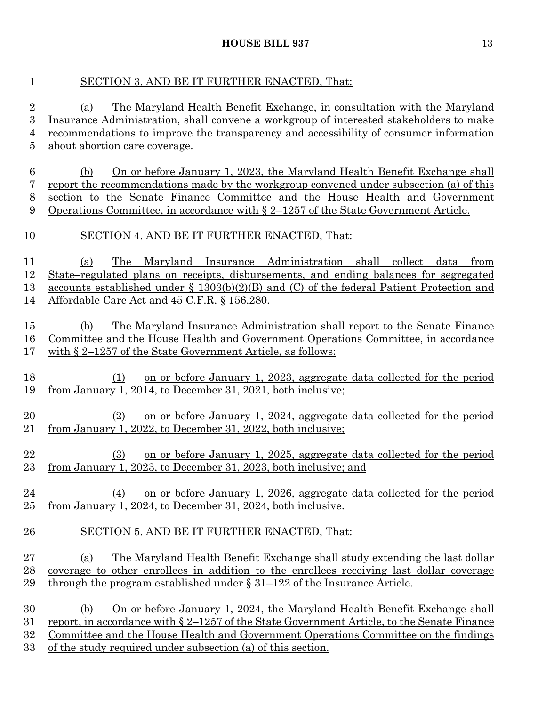## SECTION 3. AND BE IT FURTHER ENACTED, That:

 (a) The Maryland Health Benefit Exchange, in consultation with the Maryland Insurance Administration, shall convene a workgroup of interested stakeholders to make recommendations to improve the transparency and accessibility of consumer information about abortion care coverage. (b) On or before January 1, 2023, the Maryland Health Benefit Exchange shall report the recommendations made by the workgroup convened under subsection (a) of this section to the Senate Finance Committee and the House Health and Government Operations Committee, in accordance with § 2–1257 of the State Government Article. SECTION 4. AND BE IT FURTHER ENACTED, That: (a) The Maryland Insurance Administration shall collect data from State–regulated plans on receipts, disbursements, and ending balances for segregated accounts established under § 1303(b)(2)(B) and (C) of the federal Patient Protection and Affordable Care Act and 45 C.F.R. § 156.280. (b) The Maryland Insurance Administration shall report to the Senate Finance Committee and the House Health and Government Operations Committee, in accordance with § 2–1257 of the State Government Article, as follows: (1) on or before January 1, 2023, aggregate data collected for the period from January 1, 2014, to December 31, 2021, both inclusive; (2) on or before January 1, 2024, aggregate data collected for the period from January 1, 2022, to December 31, 2022, both inclusive; (3) on or before January 1, 2025, aggregate data collected for the period from January 1, 2023, to December 31, 2023, both inclusive; and (4) on or before January 1, 2026, aggregate data collected for the period from January 1, 2024, to December 31, 2024, both inclusive. SECTION 5. AND BE IT FURTHER ENACTED, That: (a) The Maryland Health Benefit Exchange shall study extending the last dollar coverage to other enrollees in addition to the enrollees receiving last dollar coverage 29 through the program established under § 31–122 of the Insurance Article. (b) On or before January 1, 2024, the Maryland Health Benefit Exchange shall report, in accordance with § 2–1257 of the State Government Article, to the Senate Finance Committee and the House Health and Government Operations Committee on the findings

of the study required under subsection (a) of this section.